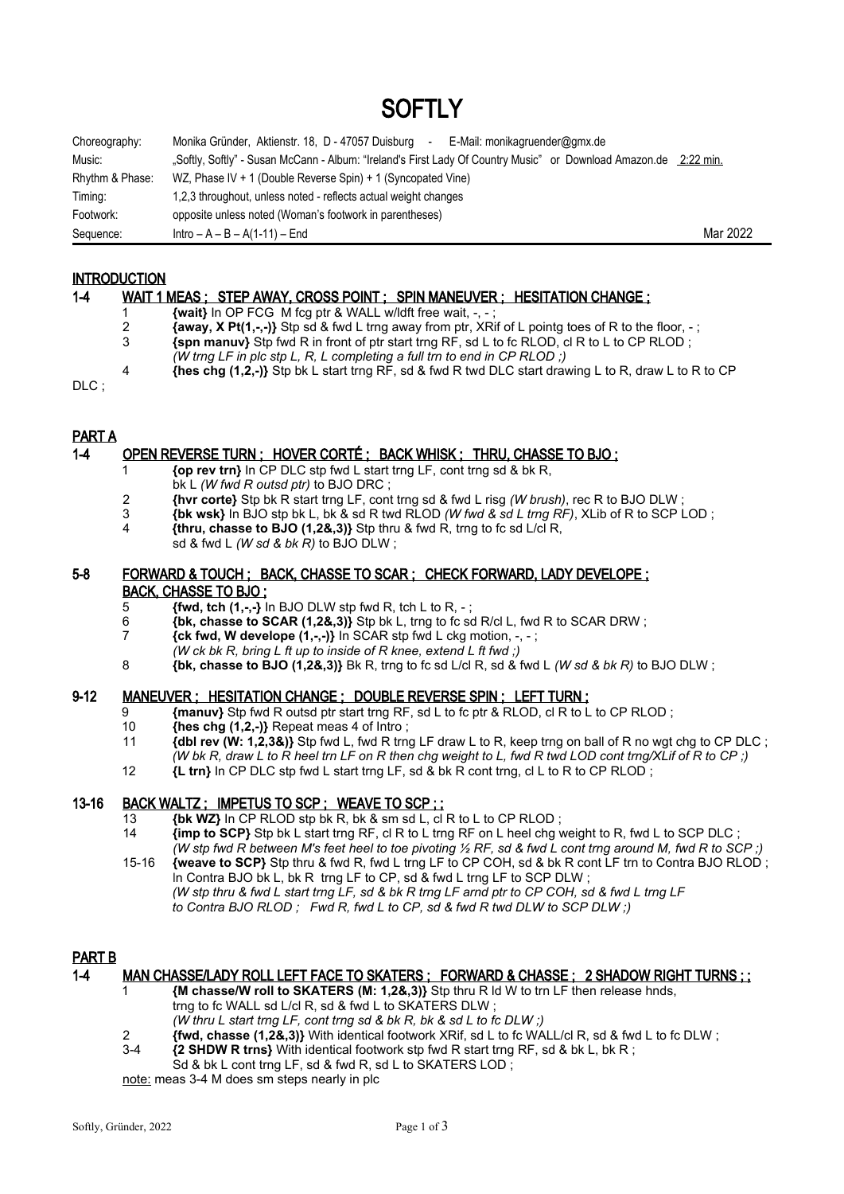# **SOFTIY**

| Choreography:   | Monika Gründer, Aktienstr. 18, D - 47057 Duisburg<br>E-Mail: monikagruender@gmx.de<br>$\sim$                     |          |
|-----------------|------------------------------------------------------------------------------------------------------------------|----------|
| Music:          | "Softly, Softly" - Susan McCann - Album: "Ireland's First Lady Of Country Music" or Download Amazon.de 2:22 min. |          |
| Rhythm & Phase: | WZ, Phase IV + 1 (Double Reverse Spin) + 1 (Syncopated Vine)                                                     |          |
| Timing:         | 1,2,3 throughout, unless noted - reflects actual weight changes                                                  |          |
| Footwork:       | opposite unless noted (Woman's footwork in parentheses)                                                          |          |
| Sequence:       | $Intro - A - B - A(1-11) - End$                                                                                  | Mar 2022 |

#### **INTRODUCTION**

#### 1-4 WAIT 1 MEAS ; STEP AWAY, CROSS POINT ; SPIN MANEUVER ; HESITATION CHANGE ;

- 1 **{wait}** In OP FCG M fcg ptr & WALL w/ldft free wait, -, ;
	-
- 2 **{away, X Pt(1,-,-)}** Stp sd & fwd L trng away from ptr, XRif of L pointg toes of R to the floor, ; 3 **{spn manuv}** Stp fwd R in front of ptr start trng RF, sd L to fc RLOD, cl R to L to CP RLOD ;
- *(W trng LF in plc stp L, R, L completing a full trn to end in CP RLOD ;)*
- 4 **{hes chg (1,2,-)}** Stp bk L start trng RF, sd & fwd R twd DLC start drawing L to R, draw L to R to CP

DLC ;

# PART A

# 1-4 OPEN REVERSE TURN ; HOVER CORTÉ ; BACK WHISK ; THRU, CHASSE TO BJO ;

- 1 **{op rev trn}** In CP DLC stp fwd L start trng LF, cont trng sd & bk R,
- bk L *(W fwd R outsd ptr)* to BJO DRC ;
- 2 **{hvr corte}** Stp bk R start trng LF, cont trng sd & fwd L risg *(W brush)*, rec R to BJO DLW ;
- 3 **{bk wsk}** In BJO stp bk L, bk & sd R twd RLOD *(W fwd & sd L trng RF)*, XLib of R to SCP LOD ;
- 4 **{thru, chasse to BJO (1,2&,3)}** Stp thru & fwd R, trng to fc sd L/cl R, sd & fwd L *(W sd & bk R)* to BJO DLW ;

#### 5-8 FORWARD & TOUCH ; BACK, CHASSE TO SCAR ; CHECK FORWARD, LADY DEVELOPE ; BACK, CHASSE TO BJO ;

5 **{fwd, tch (1,-,-}** In BJO DLW stp fwd R, tch L to R, - ;

- 6 **{bk, chasse to SCAR (1,2&,3)}** Stp bk L, trng to fc sd R/cl L, fwd R to SCAR DRW ;
- 7 **{ck fwd, W develope (1,-,-)}** In SCAR stp fwd L ckg motion, -, ;
	- *(W ck bk R, bring L ft up to inside of R knee, extend L ft fwd ;)*
- 8 **{bk, chasse to BJO (1,2&,3)}** Bk R, trng to fc sd L/cl R, sd & fwd L *(W sd & bk R)* to BJO DLW ;

#### 9-12 MANEUVER ; HESITATION CHANGE ; DOUBLE REVERSE SPIN ; LEFT TURN ;

- 9 **{manuv}** Stp fwd R outsd ptr start trng RF, sd L to fc ptr & RLOD, cl R to L to CP RLOD ;
- 10 **{hes chg (1,2,-)}** Repeat meas 4 of Intro ;
- 11 **{dbl rev (W: 1,2,3&)}** Stp fwd L, fwd R trng LF draw L to R, keep trng on ball of R no wgt chg to CP DLC ;
	- *(W bk R, draw L to R heel trn LF on R then chg weight to L, fwd R twd LOD cont trng/XLif of R to CP ;)*
	- 12 **{L trn}** In CP DLC stp fwd L start trng LF, sd & bk R cont trng, cl L to R to CP RLOD ;

# 13-16 BACK WALTZ ; IMPETUS TO SCP ; WEAVE TO SCP ; ;

- 13 **{bk WZ}** In CP RLOD stp bk R, bk & sm sd L, cl R to L to CP RLOD ;<br>14 *i***mn to SCP** Stp bk L start trng RE cl R to L trng RE on L beel chg v
- 14 **{imp to SCP}** Stp bk L start trng RF, cl R to L trng RF on L heel chg weight to R, fwd L to SCP DLC ; *(W stp fwd R between M's feet heel to toe pivoting ½ RF, sd & fwd L cont trng around M, fwd R to SCP ;)* 15-16 **{weave to SCP}** Stp thru & fwd R, fwd L trng LF to CP COH, sd & bk R cont LF trn to Contra BJO RLOD ;
- In Contra BJO bk L, bk R trng LF to CP, sd & fwd L trng LF to SCP DLW ; *(W stp thru & fwd L start trng LF, sd & bk R trng LF arnd ptr to CP COH, sd & fwd L trng LF to Contra BJO RLOD ; Fwd R, fwd L to CP, sd & fwd R twd DLW to SCP DLW ;)*

#### PART B

#### 1-4 MAN CHASSE/LADY ROLL LEFT FACE TO SKATERS ; FORWARD & CHASSE ; 2 SHADOW RIGHT TURNS ; ;

- 1 **{M chasse/W roll to SKATERS (M: 1,2&,3)}** Stp thru R ld W to trn LF then release hnds, trng to fc WALL sd L/cl R, sd & fwd L to SKATERS DLW ;
- *(W thru L start trng LF, cont trng sd & bk R, bk & sd L to fc DLW ;)*
- 2 **{fwd, chasse (1,2&,3)}** With identical footwork XRif, sd L to fc WALL/cl R, sd & fwd L to fc DLW ;
- 3-4 **{2 SHDW R trns}** With identical footwork stp fwd R start trng RF, sd & bk L, bk R ; Sd & bk L cont trng LF, sd & fwd R, sd L to SKATERS LOD :

note: meas 3-4 M does sm steps nearly in plc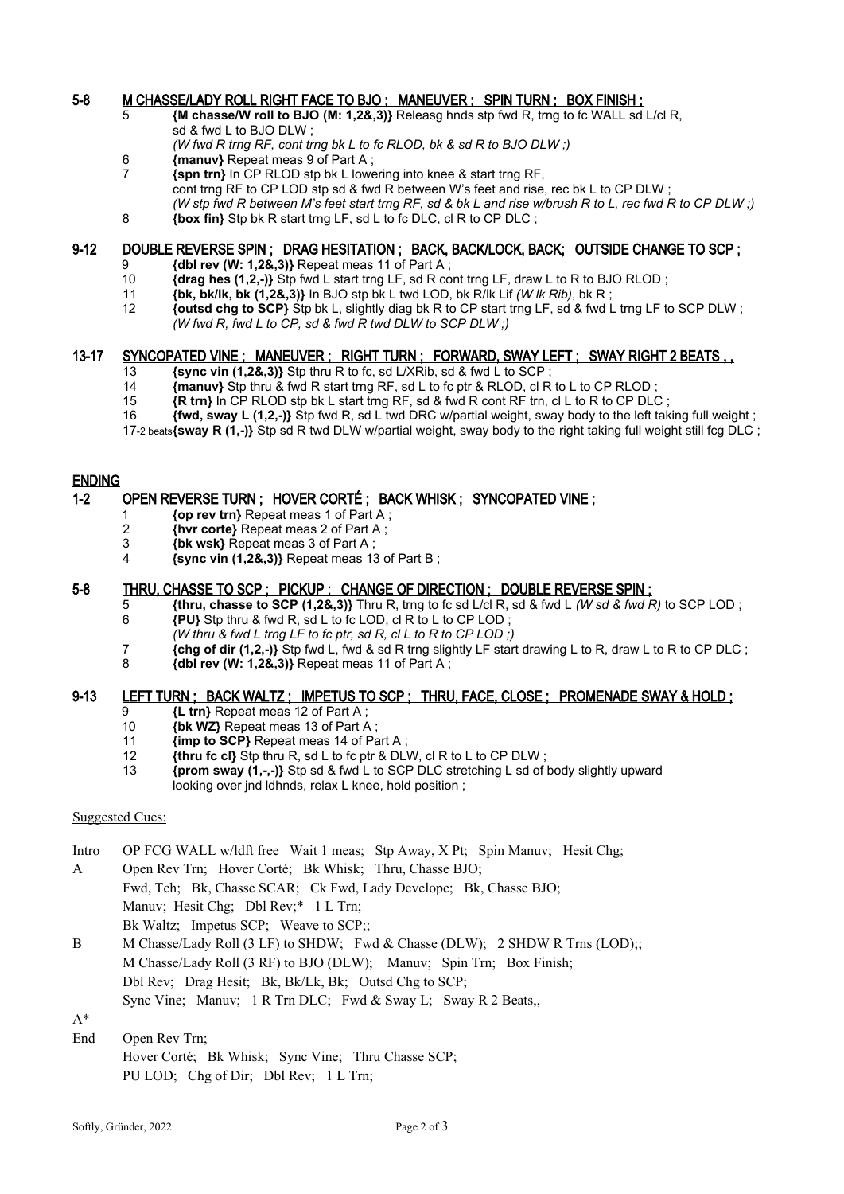#### 5-8 M CHASSE/LADY ROLL RIGHT FACE TO BJO ; MANEUVER ; SPIN TURN ; BOX FINISH ;

- 5 **{M chasse/W roll to BJO (M: 1,2&,3)}** Releasg hnds stp fwd R, trng to fc WALL sd L/cl R, sd & fwd L to BJO DLW ;
- *(W fwd R trng RF, cont trng bk L to fc RLOD, bk & sd R to BJO DLW ;)*
- 6 **{manuv}** Repeat meas 9 of Part A ;
- 7 **{spn trn}** In CP RLOD stp bk L lowering into knee & start trng RF, cont trng RF to CP LOD stp sd & fwd R between W's feet and rise, rec bk L to CP DLW ; *(W stp fwd R between M's feet start trng RF, sd & bk L and rise w/brush R to L, rec fwd R to CP DLW ;)* 8 **{box fin}** Stp bk R start trng LF, sd L to fc DLC, cl R to CP DLC ;

# 9-12 DOUBLE REVERSE SPIN ; DRAG HESITATION ; BACK, BACK/LOCK, BACK; OUTSIDE CHANGE TO SCP ;

- 9 **{dbl rev (W: 1,2&,3)}** Repeat meas 11 of Part A ;
- 10 **{drag hes (1,2,-)}** Stp fwd L start trng LF, sd R cont trng LF, draw L to R to BJO RLOD;
- 11 **{bk, bk/lk, bk (1,2&,3)}** In BJO stp bk L twd LOD, bk R/lk Lif *(W lk Rib)*, bk R ;
- 12 **{outsd chg to SCP}** Stp bk L, slightly diag bk R to CP start trng LF, sd & fwd L trng LF to SCP DLW ; *(W fwd R, fwd L to CP, sd & fwd R twd DLW to SCP DLW ;)*

#### 13-17 SYNCOPATED VINE; MANEUVER; RIGHT TURN; FORWARD, SWAY LEFT; SWAY RIGHT 2 BEATS,

- 13 **{sync vin (1,2&,3)}** Stp thru R to fc, sd L/XRib, sd & fwd L to SCP ;
- 14 **{manuv}** Stp thru & fwd R start trng RF, sd L to fc ptr & RLOD, cl R to L to CP RLOD ;
- 15 **{R trn}** In CP RLOD stp bk L start trng RF, sd & fwd R cont RF trn, cl L to R to CP DLC;
- 16 **{fwd, sway L (1,2,-)}** Stp fwd R, sd L twd DRC w/partial weight, sway body to the left taking full weight ;

17-2 beats**{sway R (1,-)}** Stp sd R twd DLW w/partial weight, sway body to the right taking full weight still fcg DLC ;

# ENDING

#### 1-2 OPEN REVERSE TURN ; HOVER CORTÉ ; BACK WHISK ; SYNCOPATED VINE ;

- 1 **{op rev trn}** Repeat meas 1 of Part A ;
- 2 **{hvr corte}** Repeat meas 2 of Part A ;
- 3 **{bk wsk}** Repeat meas 3 of Part A ;<br>4 **{sync yin (1.2&.3)}** Repeat meas 13
- 4 **{sync vin (1,2&,3)}** Repeat meas 13 of Part B ;

# 5-8 THRU, CHASSE TO SCP ; PICKUP ; CHANGE OF DIRECTION ; DOUBLE REVERSE SPIN ;

- 5 **{thru, chasse to SCP (1,2&,3)}** Thru R, trng to fc sd L/cl R, sd & fwd L *(W sd & fwd R)* to SCP LOD ; 6 **{PU}** Stp thru & fwd R, sd L to fc LOD, cl R to L to CP LOD ;
- *(W thru & fwd L trng LF to fc ptr, sd R, cl L to R to CP LOD ;)*
- 7 **{chg of dir (1,2,-)}** Stp fwd L, fwd & sd R trng slightly LF start drawing L to R, draw L to R to CP DLC ;
	- 8 **{dbl rev (W: 1,2&,3)}** Repeat meas 11 of Part A ;

#### 9-13 LEFT TURN ; BACK WALTZ ; IMPETUS TO SCP ; THRU, FACE, CLOSE ; PROMENADE SWAY & HOLD ;

- 9 **{L trn}** Repeat meas 12 of Part A;<br>10 **{bk WZ}** Repeat meas 13 of Part A
- 10 **{bk WZ}** Repeat meas 13 of Part A ;
- 11 **{imp to SCP}** Repeat meas 14 of Part A ;
- 12 **{thru fc cl}** Stp thru R, sd L to fc ptr & DLW, cl R to L to CP DLW ;
- 13 **{prom sway (1,-,-)}** Stp sd & fwd L to SCP DLC stretching L sd of body slightly upward looking over jnd ldhnds, relax L knee, hold position ;

#### Suggested Cues:

- Intro OP FCG WALL w/ldft free Wait 1 meas; Stp Away, X Pt; Spin Manuv; Hesit Chg;
- A Open Rev Trn; Hover Corté; Bk Whisk; Thru, Chasse BJO; Fwd, Tch; Bk, Chasse SCAR; Ck Fwd, Lady Develope; Bk, Chasse BJO; Manuv; Hesit Chg; Dbl Rev;\* 1 L Trn;
	- Bk Waltz; Impetus SCP; Weave to SCP;;
- B M Chasse/Lady Roll (3 LF) to SHDW; Fwd & Chasse (DLW); 2 SHDW R Trns (LOD);; M Chasse/Lady Roll (3 RF) to BJO (DLW); Manuv; Spin Trn; Box Finish; Dbl Rev; Drag Hesit; Bk, Bk/Lk, Bk; Outsd Chg to SCP; Sync Vine; Manuv; 1 R Trn DLC; Fwd & Sway L; Sway R 2 Beats,,

A\*

End Open Rev Trn;

Hover Corté; Bk Whisk; Sync Vine; Thru Chasse SCP; PU LOD; Chg of Dir; Dbl Rev; 1 L Trn;